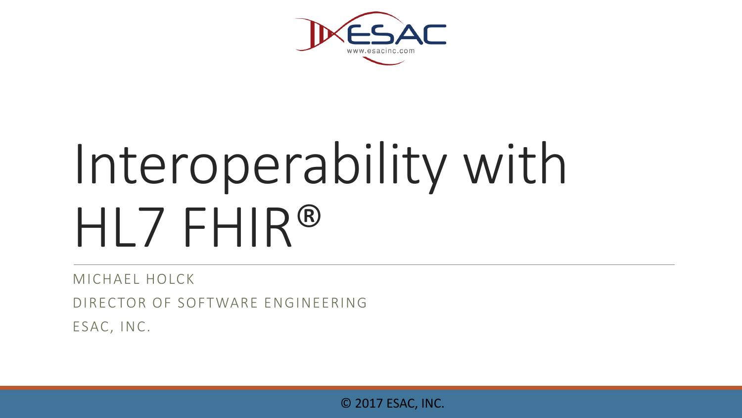

# Interoperability with HL7 FHIR®

MICHAEL HOLCK

DIRECTOR OF SOFTWARE ENGINEERING

ESAC, INC.

© 2017 ESAC, INC.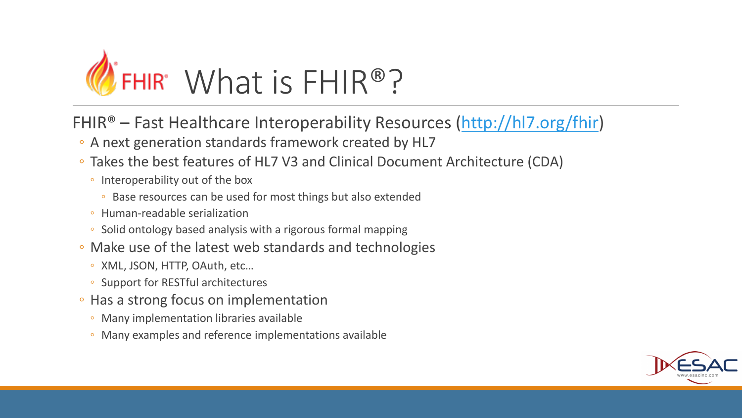

- FHIR® Fast Healthcare Interoperability Resources ([http://hl7.org/fhir\)](http://hl7.org/fhir)
- A next generation standards framework created by HL7
- Takes the best features of HL7 V3 and Clinical Document Architecture (CDA)
	- Interoperability out of the box
		- Base resources can be used for most things but also extended
	- Human-readable serialization
	- Solid ontology based analysis with a rigorous formal mapping
- Make use of the latest web standards and technologies
	- XML, JSON, HTTP, OAuth, etc…
	- Support for RESTful architectures
- Has a strong focus on implementation
	- Many implementation libraries available
	- Many examples and reference implementations available

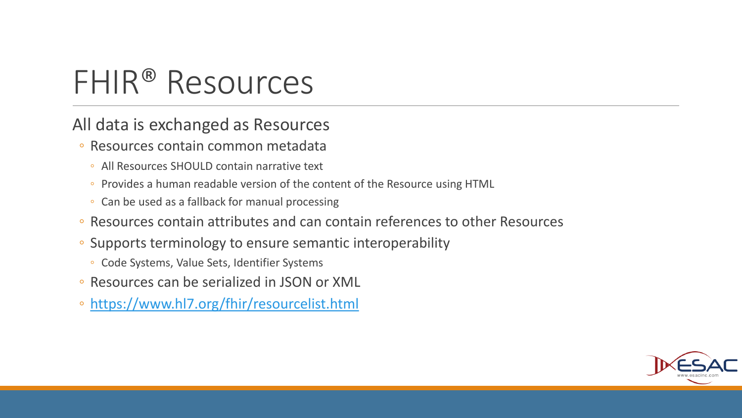### FHIR® Resources

All data is exchanged as Resources

- Resources contain common metadata
	- All Resources SHOULD contain narrative text
	- Provides a human readable version of the content of the Resource using HTML
	- Can be used as a fallback for manual processing
- Resources contain attributes and can contain references to other Resources
- Supports terminology to ensure semantic interoperability
	- Code Systems, Value Sets, Identifier Systems
- Resources can be serialized in JSON or XML
- <https://www.hl7.org/fhir/resourcelist.html>

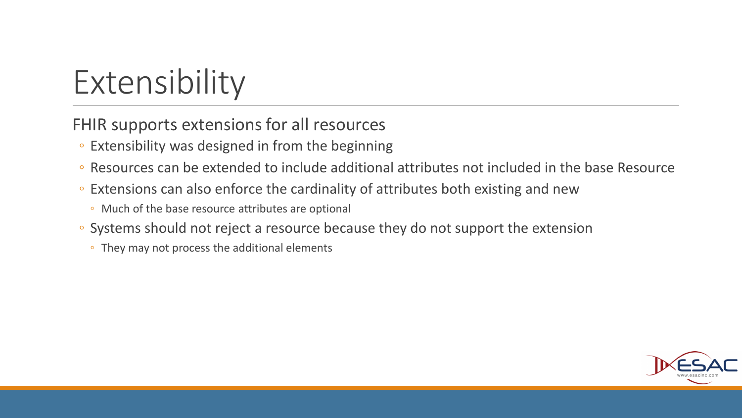### Extensibility

FHIR supports extensions for all resources

- Extensibility was designed in from the beginning
- Resources can be extended to include additional attributes not included in the base Resource
- Extensions can also enforce the cardinality of attributes both existing and new
	- Much of the base resource attributes are optional
- Systems should not reject a resource because they do not support the extension
	- They may not process the additional elements

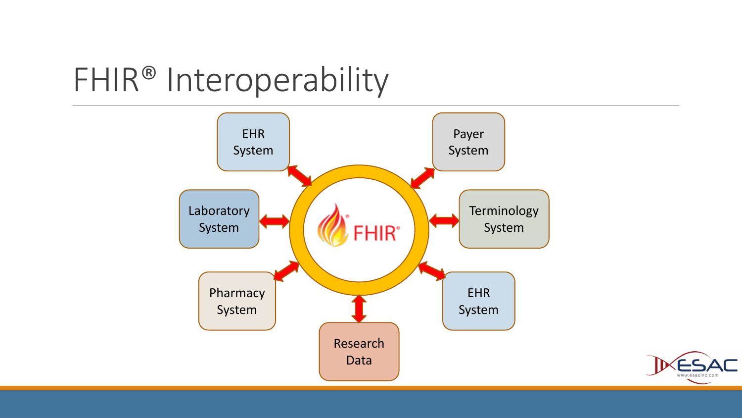### FHIR® Interoperability



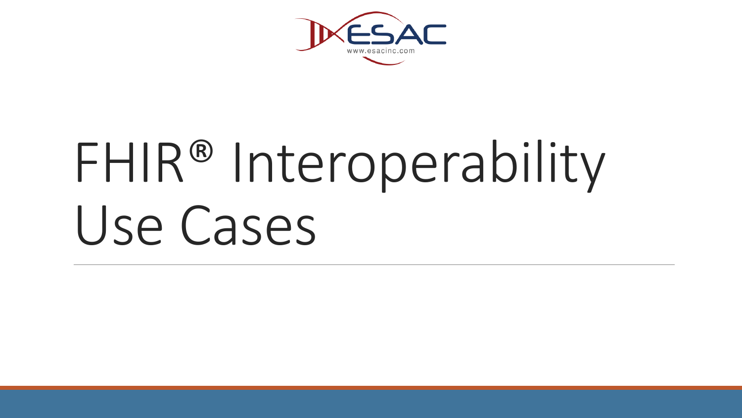

# FHIR<sup>®</sup> Interoperability Use Cases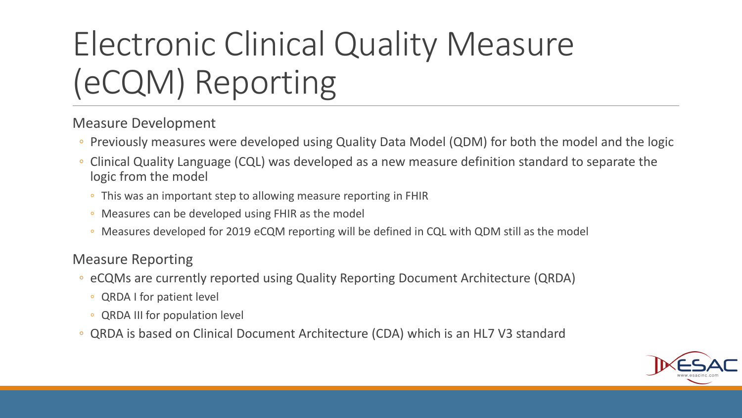## Electronic Clinical Quality Measure (eCQM) Reporting

Measure Development

- Previously measures were developed using Quality Data Model (QDM) for both the model and the logic
- Clinical Quality Language (CQL) was developed as a new measure definition standard to separate the logic from the model
	- This was an important step to allowing measure reporting in FHIR
	- Measures can be developed using FHIR as the model
	- Measures developed for 2019 eCQM reporting will be defined in CQL with QDM still as the model

#### Measure Reporting

- eCQMs are currently reported using Quality Reporting Document Architecture (QRDA)
	- QRDA I for patient level
	- QRDA III for population level
- QRDA is based on Clinical Document Architecture (CDA) which is an HL7 V3 standard

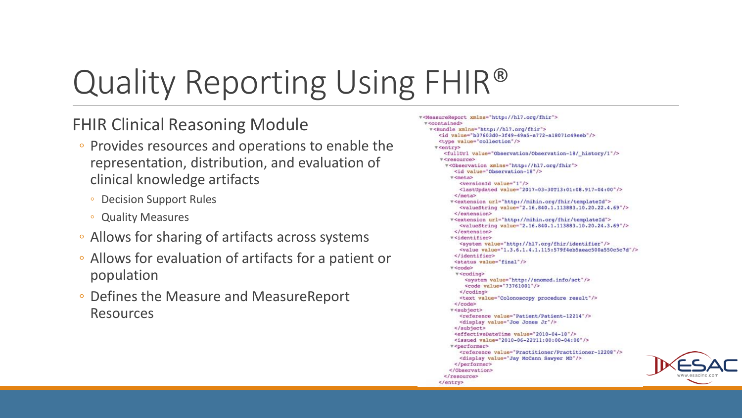## Quality Reporting Using FHIR®

#### FHIR Clinical Reasoning Module

- Provides resources and operations to enable the representation, distribution, and evaluation of clinical knowledge artifacts
	- Decision Support Rules
	- Quality Measures
- Allows for sharing of artifacts across systems
- Allows for evaluation of artifacts for a patient or population
- Defines the Measure and MeasureReport Resources

```
v<MeasureReport xmlns="http://hl7.org/fhir">
v<contained>
  w<Bundle xmlns="http://hl?.org/fhir">
     <id value="b37603d0-3f49-49a5-a772-a18071c49eeb"/>
     <type value="collection"/>
    v<entry>
      <fullUrl value="Observation/Observation-18/ history/1"/>
     v<resource>
       v<Observation xmlns="http://hl7.org/fhir">
          <id value="Observation-18"/>
        v<meta>
            <versionId value="1"/>
            <lastUpdated value="2017-03-30T13:01:08.917-04:00"/>
          </meta>
         w<extension url="http://mihin.org/fhir/templateId">
           <valueString value="2.16.840.1.113883.10.20.22.4.69"/>
          </extension>
         v<extension url="http://mihin.org/fhir/templateId">
            <valueString value="2.16.840.1.113883.10.20.24.3.69"/>
          </extension>
         v<identifier>
            <system value="http://hl7.org/fhir/identifier"/>
           <value value="1.3.6.1.4.1.115:579f4eb5aeac500a550c5c7d"/>
          </identifier>
          <status value="final"/>
         ▼ <code>
          v<coding>
             <system value="http://snomed.info/sct"/>
             <code value="73761001"/>
            </coding>
            <text value="Colonoscopy procedure result"/>
          v<subject>
            <reference value="Patient/Patient-12214"/>
           <display value="Joe Jones Jr"/>
          </subject>
          <effectiveDateTime value="2010-04-18"/>
          <issued value="2010-06-22T11:00:00-04:00"/>
         v<performer>
            <reference value="Practitioner/Practitioner-12208"/>
            <display value="Jay McCann Sawyer MD"/>
          </performer>
        </Observation>
      </resource>
     </entry>
```
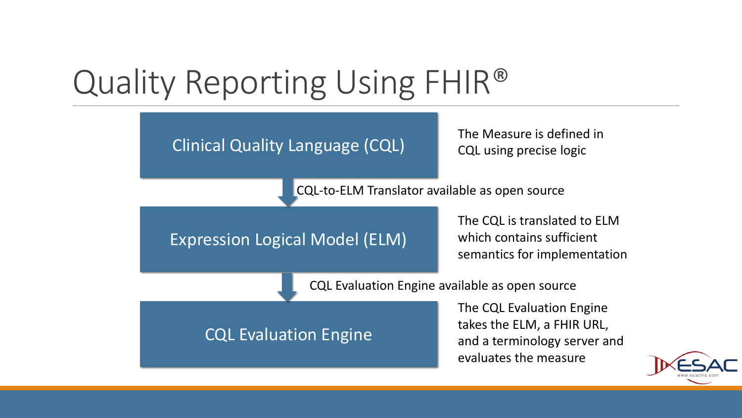### Quality Reporting Using FHIR®



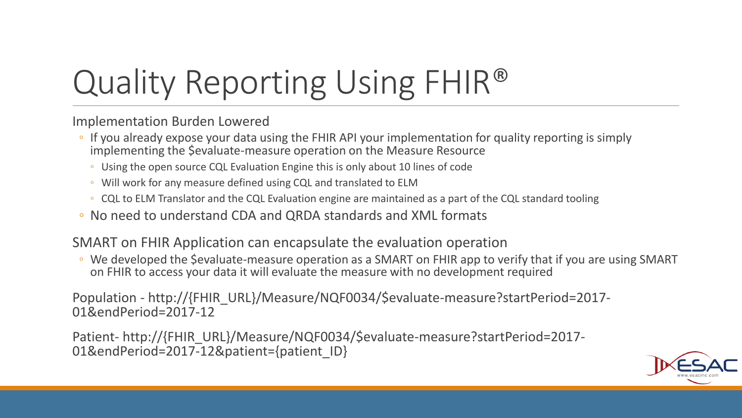# Quality Reporting Using FHIR®

Implementation Burden Lowered

- If you already expose your data using the FHIR API your implementation for quality reporting is simply implementing the \$evaluate-measure operation on the Measure Resource
	- Using the open source CQL Evaluation Engine this is only about 10 lines of code
	- Will work for any measure defined using CQL and translated to ELM
	- CQL to ELM Translator and the CQL Evaluation engine are maintained as a part of the CQL standard tooling
- No need to understand CDA and QRDA standards and XML formats

#### SMART on FHIR Application can encapsulate the evaluation operation

◦ We developed the \$evaluate-measure operation as a SMART on FHIR app to verify that if you are using SMART on FHIR to access your data it will evaluate the measure with no development required

Population - http://{FHIR\_URL}/Measure/NQF0034/\$evaluate-measure?startPeriod=2017- 01&endPeriod=2017-12

Patient- http://{FHIR\_URL}/Measure/NQF0034/\$evaluate-measure?startPeriod=2017-01&endPeriod=2017-12&patient={patient\_ID}

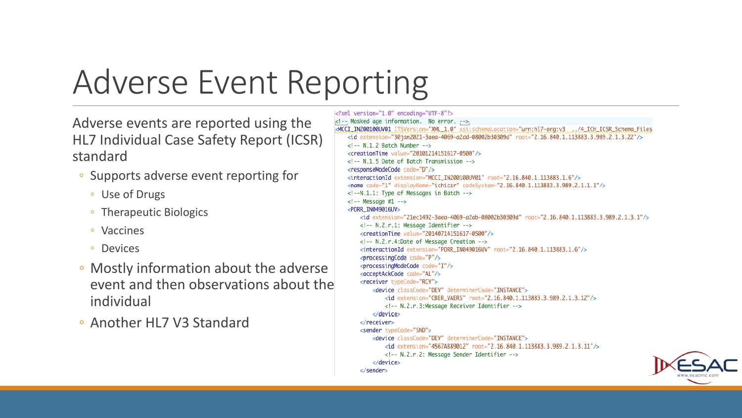### Adverse Event Reporting

Adverse events are reported using the HL7 Individual Case Safety Report (ICSR) standard

- Supports adverse event reporting for
	- Use of Drugs
	- Therapeutic Biologics
	- Vaccines
	- Devices
- Mostly information about the adverse event and then observations about the individual

◦ Another HL7 V3 Standard

<?xml version="1.0" encoding="UTF-8"?>  $\lt$ !-- Masked age information. No error. --> <MCCI\_IN200100UV01\_ITSVersion="XML\_1.0" xsi:schemaLocation="urn:hl7-org:v3..../4\_ICH\_ICSR\_Schema\_Files <id extension="30jan2021-3aea-4069-a2dd-08002b30309d" root="2.16.840.1.113883.3.989.2.1.3.22"/>  $\langle$ !-- N.1.2 Batch Number --> <creationTime value="20101214151617-0500"/> <!-- N.1.5 Date of Batch Transmission --> <responseModeCode code="D"/> <interactionId extension="MCCI\_IN200100UV01" root="2.16.840.1.113883.1.6"/> <name code="1" displayName="ichicsr" codeSystem="2.16.840.1.113883.3.989.2.1.1.1"/> <!--N.1.1: Type of Messages in Batch -->  $<!--</math> Message #1 -->$ <PORR IN049016UV> <id extension="21ec1492-3aea-4069-a2ab-08002b30309d" root="2.16.840.1.113883.3.989.2.1.3.1"/> <!-- N.2.r.1: Message Identifier --> <creationTime value="20140714151617-0500"/> <!-- N.2.r.4:Date of Message Creation --> <interactionId extension="PORR\_IN049016UV" root="2.16.840.1.113883.1.6"/> <processingCode code="P"/> <processingModeCode code="I"/> <acceptAckCode code="AL"/> <receiver typeCode="RCV"> <device classCode="DEV" determinerCode="INSTANCE"> <id extension="CBER\_VAERS" root="2.16.840.1.113883.3.989.2.1.3.12"/> <!-- N.2.r.3:Message Receiver Identifier --> </device> </receiver> <sender typeCode="SND"> <device classCode="DEV" determinerCode="INSTANCE"> <id extension="4567AB89012" root="2.16.840.1.113883.3.989.2.1.3.11"/> <!-- N.2.r.2: Message Sender Identifier --> </device> </sender>

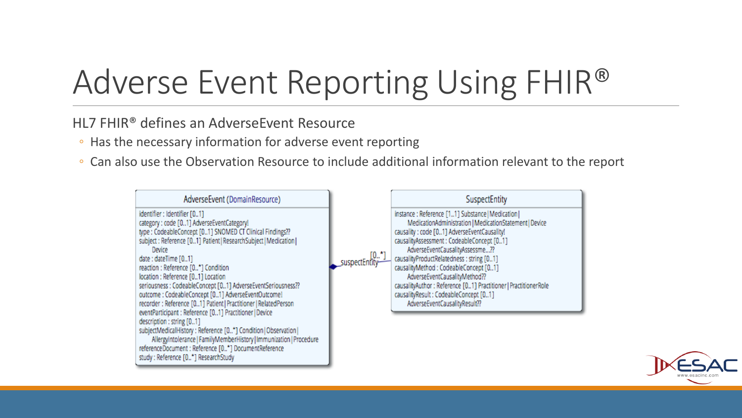### Adverse Event Reporting Using FHIR®

HL7 FHIR® defines an AdverseEvent Resource

- Has the necessary information for adverse event reporting
- Can also use the Observation Resource to include additional information relevant to the report



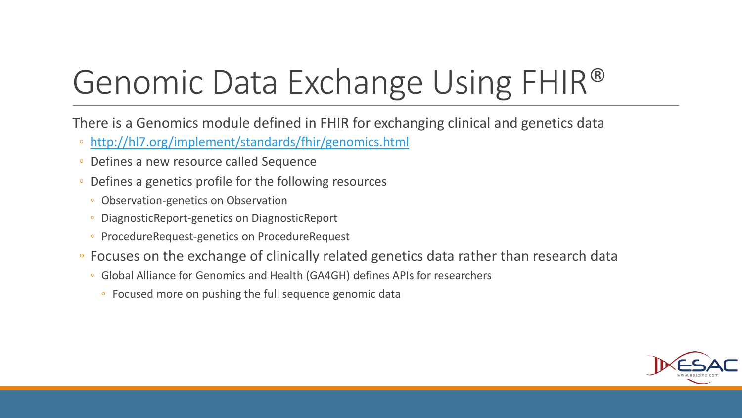### Genomic Data Exchange Using FHIR®

There is a Genomics module defined in FHIR for exchanging clinical and genetics data

- <http://hl7.org/implement/standards/fhir/genomics.html>
- Defines a new resource called Sequence
- Defines a genetics profile for the following resources
	- Observation-genetics on Observation
	- DiagnosticReport-genetics on DiagnosticReport
	- ProcedureRequest-genetics on ProcedureRequest
- Focuses on the exchange of clinically related genetics data rather than research data
	- Global Alliance for Genomics and Health (GA4GH) defines APIs for researchers
		- Focused more on pushing the full sequence genomic data

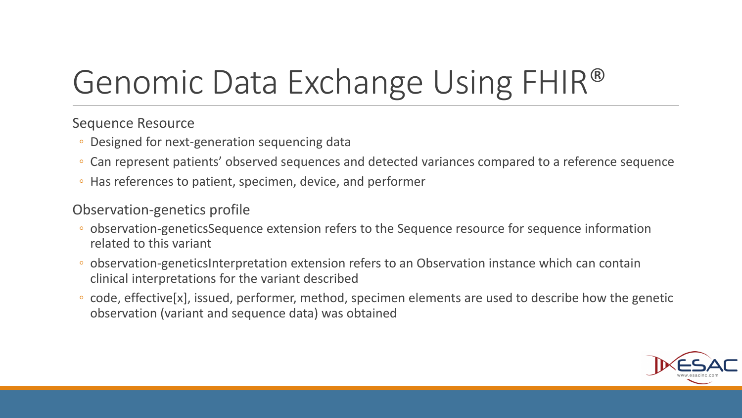### Genomic Data Exchange Using FHIR®

#### Sequence Resource

- Designed for next-generation sequencing data
- Can represent patients' observed sequences and detected variances compared to a reference sequence
- Has references to patient, specimen, device, and performer

#### Observation-genetics profile

- observation-geneticsSequence extension refers to the Sequence resource for sequence information related to this variant
- observation-geneticsInterpretation extension refers to an Observation instance which can contain clinical interpretations for the variant described
- code, effective[x], issued, performer, method, specimen elements are used to describe how the genetic observation (variant and sequence data) was obtained

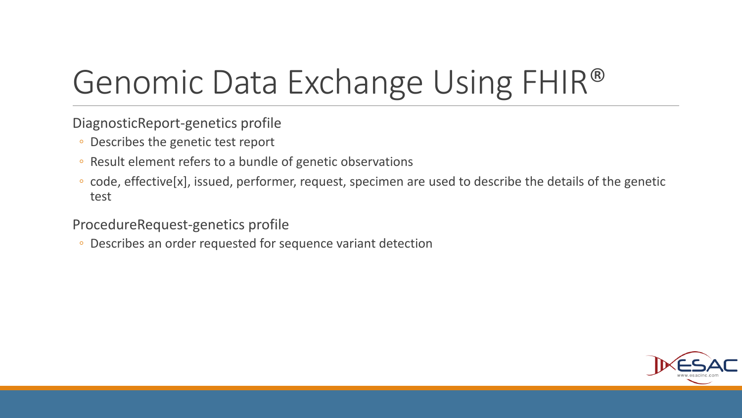### Genomic Data Exchange Using FHIR®

DiagnosticReport-genetics profile

- Describes the genetic test report
- Result element refers to a bundle of genetic observations
- code, effective[x], issued, performer, request, specimen are used to describe the details of the genetic test

ProcedureRequest-genetics profile

◦ Describes an order requested for sequence variant detection

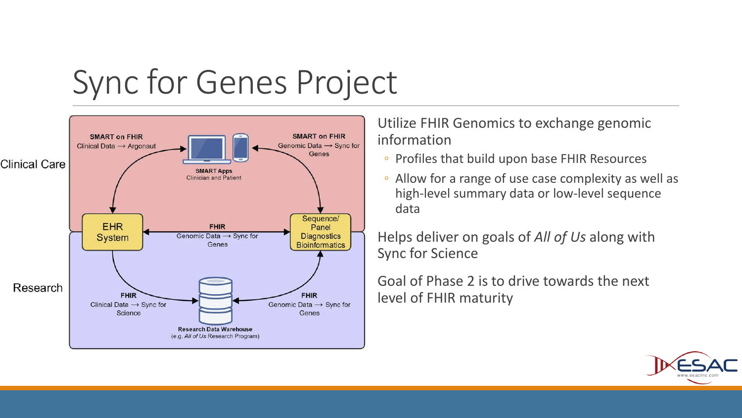### Sync for Genes Project



Utilize FHIR Genomics to exchange genomic information

- Profiles that build upon base FHIR Resources
- Allow for a range of use case complexity as well as high-level summary data or low-level sequence data

Helps deliver on goals of *All of Us* along with Sync for Science

Goal of Phase 2 is to drive towards the next level of FHIR maturity